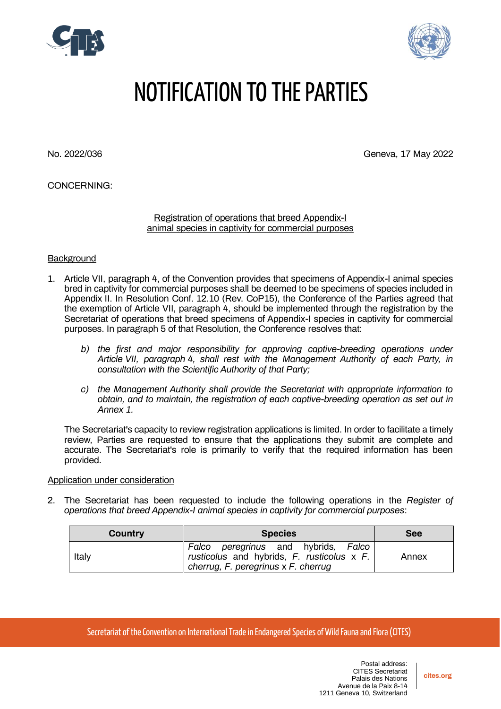



## NOTIFICATION TO THE PARTIES

No. 2022/036 Geneva, 17 May 2022

CONCERNING:

Registration of operations that breed Appendix-I animal species in captivity for commercial purposes

## **Background**

- 1. Article VII, paragraph 4, of the Convention provides that specimens of Appendix-I animal species bred in captivity for commercial purposes shall be deemed to be specimens of species included in Appendix II. In Resolution Conf. 12.10 (Rev. CoP15), the Conference of the Parties agreed that the exemption of Article VII, paragraph 4, should be implemented through the registration by the Secretariat of operations that breed specimens of Appendix-I species in captivity for commercial purposes. In paragraph 5 of that Resolution, the Conference resolves that:
	- *b) the first and major responsibility for approving captive-breeding operations under Article VII, paragraph 4, shall rest with the Management Authority of each Party, in consultation with the Scientific Authority of that Party;*
	- *c) the Management Authority shall provide the Secretariat with appropriate information to obtain, and to maintain, the registration of each captive-breeding operation as set out in Annex 1.*

The Secretariat's capacity to review registration applications is limited. In order to facilitate a timely review, Parties are requested to ensure that the applications they submit are complete and accurate. The Secretariat's role is primarily to verify that the required information has been provided.

## Application under consideration

2. The Secretariat has been requested to include the following operations in the *Register of operations that breed Appendix-I animal species in captivity for commercial purposes*:

| <b>Country</b> | <b>Species</b>                                                                                                             | <b>See</b> |
|----------------|----------------------------------------------------------------------------------------------------------------------------|------------|
| Italy          | Falco peregrinus and hybrids, Falco<br>rusticolus and hybrids, F. rusticolus x F. I<br>cherrug, F. peregrinus x F. cherrug | Annex      |

Secretariat of the Convention on International Trade in Endangered Species of Wild Fauna and Flora (CITES)